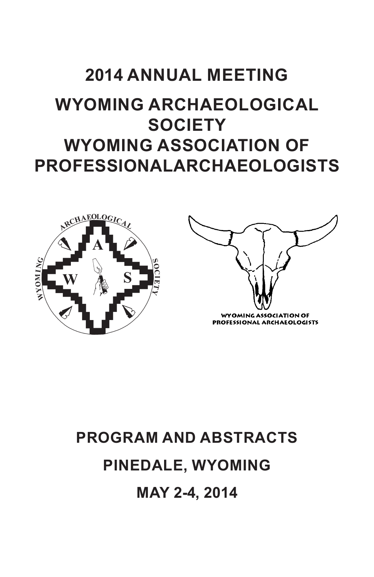# **2014 ANNUAL MEETING**

# **WYOMING ARCHAEOLOGICAL SOCIETY WYOMING ASSOCIATION OF PROFESSIONAL ARCHAEOLOGISTS**





# **PROGRAM AND ABSTRACTS PINEDALE, WYOMING MAY 2-4, 2014**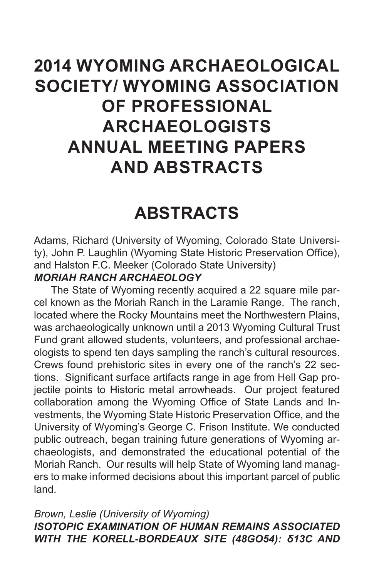# **2014 WYOMING ARCHAEOLOGICAL SOCIETY/ WYOMING ASSOCIATION OF PROFESSIONAL ARCHAEOLOGISTS ANNUAL MEETING PAPERS AND ABSTRACTS**

# **ABSTRACTS**

Adams, Richard (University of Wyoming, Colorado State University), John P. Laughlin (Wyoming State Historic Preservation Office), and Halston F.C. Meeker (Colorado State University)

## *MORIAH RANCH ARCHAEOLOGY*

The State of Wyoming recently acquired a 22 square mile parcel known as the Moriah Ranch in the Laramie Range. The ranch, located where the Rocky Mountains meet the Northwestern Plains, was archaeologically unknown until a 2013 Wyoming Cultural Trust Fund grant allowed students, volunteers, and professional archaeologists to spend ten days sampling the ranch's cultural resources. Crews found prehistoric sites in every one of the ranch's 22 sections. Significant surface artifacts range in age from Hell Gap projectile points to Historic metal arrowheads. Our project featured collaboration among the Wyoming Office of State Lands and Investments, the Wyoming State Historic Preservation Office, and the University of Wyoming's George C. Frison Institute. We conducted public outreach, began training future generations of Wyoming archaeologists, and demonstrated the educational potential of the Moriah Ranch. Our results will help State of Wyoming land managers to make informed decisions about this important parcel of public land.

### *Brown, Leslie (University of Wyoming) ISOTOPIC EXAMINATION OF HUMAN REMAINS ASSOCIATED WITH THE KORELL-BORDEAUX SITE (48GO54): δ13C AND*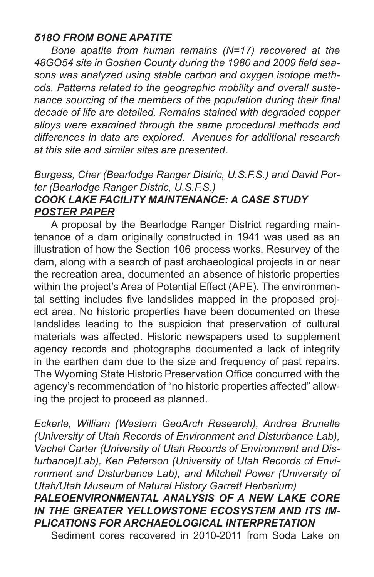## *δ18O FROM BONE APATITE*

*Bone apatite from human remains (N=17) recovered at the 48GO54 site in Goshen County during the 1980 and 2009 field seasons was analyzed using stable carbon and oxygen isotope methods. Patterns related to the geographic mobility and overall sustenance sourcing of the members of the population during their final decade of life are detailed. Remains stained with degraded copper alloys were examined through the same procedural methods and differences in data are explored. Avenues for additional research at this site and similar sites are presented.*

#### *Burgess, Cher (Bearlodge Ranger Distric, U.S.F.S.) and David Porter (Bearlodge Ranger Distric, U.S.F.S.) COOK LAKE FACILITY MAINTENANCE: A CASE STUDY*

# *POSTER PAPER*

A proposal by the Bearlodge Ranger District regarding maintenance of a dam originally constructed in 1941 was used as an illustration of how the Section 106 process works. Resurvey of the dam, along with a search of past archaeological projects in or near the recreation area, documented an absence of historic properties within the project's Area of Potential Effect (APE). The environmental setting includes five landslides mapped in the proposed project area. No historic properties have been documented on these landslides leading to the suspicion that preservation of cultural materials was affected. Historic newspapers used to supplement agency records and photographs documented a lack of integrity in the earthen dam due to the size and frequency of past repairs. The Wyoming State Historic Preservation Office concurred with the agency's recommendation of "no historic properties affected" allowing the project to proceed as planned.

*Eckerle, William (Western GeoArch Research), Andrea Brunelle (University of Utah Records of Environment and Disturbance Lab), Vachel Carter (University of Utah Records of Environment and Disturbance)Lab), Ken Peterson (University of Utah Records of Environment and Disturbance Lab), and Mitchell Power (University of Utah/Utah Museum of Natural History Garrett Herbarium) PALEOENVIRONMENTAL ANALYSIS OF A NEW LAKE CORE IN THE GREATER YELLOWSTONE ECOSYSTEM AND ITS IM-PLICATIONS FOR ARCHAEOLOGICAL INTERPRETATION* 

Sediment cores recovered in 2010-2011 from Soda Lake on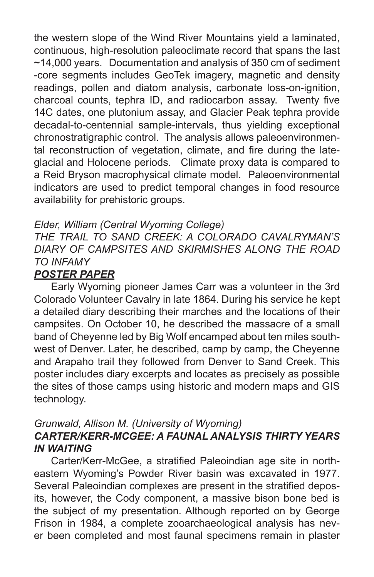the western slope of the Wind River Mountains yield a laminated, continuous, high-resolution paleoclimate record that spans the last ~14,000 years. Documentation and analysis of 350 cm of sediment -core segments includes GeoTek imagery, magnetic and density readings, pollen and diatom analysis, carbonate loss-on-ignition, charcoal counts, tephra ID, and radiocarbon assay. Twenty five 14C dates, one plutonium assay, and Glacier Peak tephra provide decadal-to-centennial sample-intervals, thus yielding exceptional chronostratigraphic control. The analysis allows paleoenvironmental reconstruction of vegetation, climate, and fire during the lateglacial and Holocene periods. Climate proxy data is compared to a Reid Bryson macrophysical climate model. Paleoenvironmental indicators are used to predict temporal changes in food resource availability for prehistoric groups.

## *Elder, William (Central Wyoming College)*

# *THE TRAIL TO SAND CREEK: A COLORADO CAVALRYMAN'S DIARY OF CAMPSITES AND SKIRMISHES ALONG THE ROAD TO INFAMY*

#### *POSTER PAPER*

Early Wyoming pioneer James Carr was a volunteer in the 3rd Colorado Volunteer Cavalry in late 1864. During his service he kept a detailed diary describing their marches and the locations of their campsites. On October 10, he described the massacre of a small band of Cheyenne led by Big Wolf encamped about ten miles southwest of Denver. Later, he described, camp by camp, the Cheyenne and Arapaho trail they followed from Denver to Sand Creek. This poster includes diary excerpts and locates as precisely as possible the sites of those camps using historic and modern maps and GIS technology.

## *Grunwald, Allison M. (University of Wyoming) CARTER/KERR-MCGEE: A FAUNAL ANALYSIS THIRTY YEARS IN WAITING*

Carter/Kerr-McGee, a stratified Paleoindian age site in northeastern Wyoming's Powder River basin was excavated in 1977. Several Paleoindian complexes are present in the stratified deposits, however, the Cody component, a massive bison bone bed is the subject of my presentation. Although reported on by George Frison in 1984, a complete zooarchaeological analysis has never been completed and most faunal specimens remain in plaster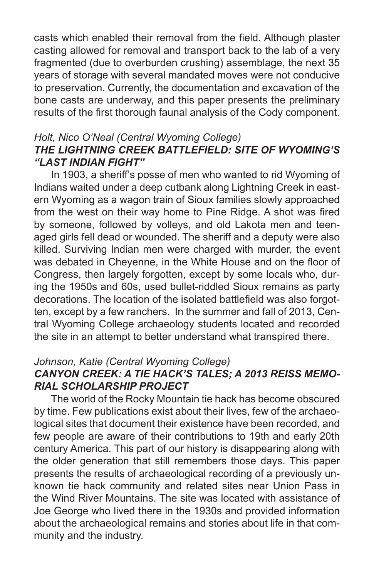casts which enabled their removal from the field. Although plaster casting allowed for removal and transport back to the lab of a very fragmented (due to overburden crushing) assemblage, the next 35 years of storage with several mandated moves were not conducive to preservation. Currently, the documentation and excavation of the bone casts are underway, and this paper presents the preliminary results of the first thorough faunal analysis of the Cody component.

### *Holt, Nico O'Neal (Central Wyoming College) THE LIGHTNING CREEK BATTLEFIELD: SITE OF WYOMING'S "LAST INDIAN FIGHT"*

In 1903, a sheriff's posse of men who wanted to rid Wyoming of Indians waited under a deep cutbank along Lightning Creek in eastern Wyoming as a wagon train of Sioux families slowly approached from the west on their way home to Pine Ridge. A shot was fired by someone, followed by volleys, and old Lakota men and teenaged girls fell dead or wounded. The sheriff and a deputy were also killed. Surviving Indian men were charged with murder, the event was debated in Cheyenne, in the White House and on the floor of Congress, then largely forgotten, except by some locals who, during the 1950s and 60s, used bullet-riddled Sioux remains as party decorations. The location of the isolated battlefield was also forgotten, except by a few ranchers. In the summer and fall of 2013, Central Wyoming College archaeology students located and recorded the site in an attempt to better understand what transpired there.

#### *Johnson, Katie (Central Wyoming College)*

# *CANYON CREEK: A TIE HACK'S TALES; A 2013 REISS MEMO-RIAL SCHOLARSHIP PROJECT*

The world of the Rocky Mountain tie hack has become obscured by time. Few publications exist about their lives, few of the archaeological sites that document their existence have been recorded, and few people are aware of their contributions to 19th and early 20th century America. This part of our history is disappearing along with the older generation that still remembers those days. This paper presents the results of archaeological recording of a previously unknown tie hack community and related sites near Union Pass in the Wind River Mountains. The site was located with assistance of Joe George who lived there in the 1930s and provided information about the archaeological remains and stories about life in that community and the industry.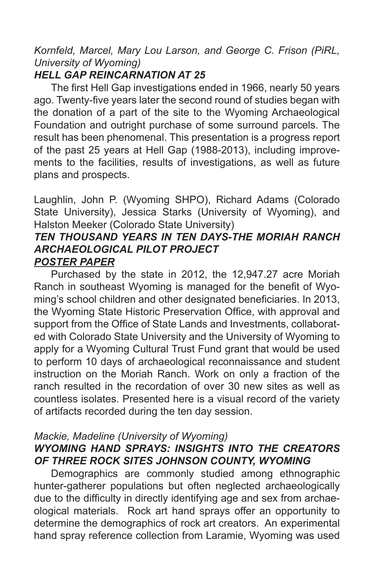# *Kornfeld, Marcel, Mary Lou Larson, and George C. Frison (PiRL, University of Wyoming)*

# *HELL GAP REINCARNATION AT 25*

The first Hell Gap investigations ended in 1966, nearly 50 years ago. Twenty-five years later the second round of studies began with the donation of a part of the site to the Wyoming Archaeological Foundation and outright purchase of some surround parcels. The result has been phenomenal. This presentation is a progress report of the past 25 years at Hell Gap (1988-2013), including improvements to the facilities, results of investigations, as well as future plans and prospects.

Laughlin, John P. (Wyoming SHPO), Richard Adams (Colorado State University), Jessica Starks (University of Wyoming), and Halston Meeker (Colorado State University)

## *TEN THOUSAND YEARS IN TEN DAYS-THE MORIAH RANCH ARCHAEOLOGICAL PILOT PROJECT POSTER PAPER*

Purchased by the state in 2012, the 12,947.27 acre Moriah Ranch in southeast Wyoming is managed for the benefit of Wyoming's school children and other designated beneficiaries. In 2013, the Wyoming State Historic Preservation Office, with approval and support from the Office of State Lands and Investments, collaborated with Colorado State University and the University of Wyoming to apply for a Wyoming Cultural Trust Fund grant that would be used to perform 10 days of archaeological reconnaissance and student instruction on the Moriah Ranch. Work on only a fraction of the ranch resulted in the recordation of over 30 new sites as well as countless isolates. Presented here is a visual record of the variety of artifacts recorded during the ten day session.

#### *Mackie, Madeline (University of Wyoming)*

# *WYOMING HAND SPRAYS: INSIGHTS INTO THE CREATORS OF THREE ROCK SITES JOHNSON COUNTY, WYOMING*

Demographics are commonly studied among ethnographic hunter-gatherer populations but often neglected archaeologically due to the difficulty in directly identifying age and sex from archaeological materials. Rock art hand sprays offer an opportunity to determine the demographics of rock art creators. An experimental hand spray reference collection from Laramie, Wyoming was used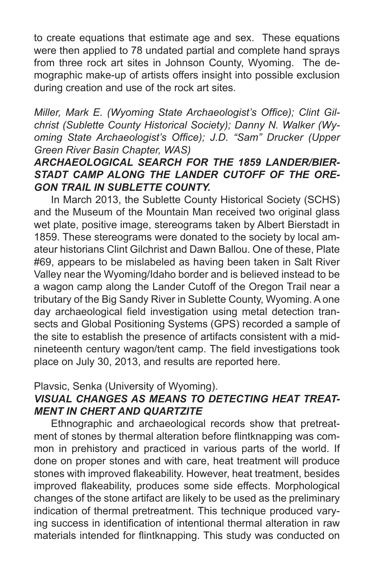to create equations that estimate age and sex. These equations were then applied to 78 undated partial and complete hand sprays from three rock art sites in Johnson County, Wyoming. The demographic make-up of artists offers insight into possible exclusion during creation and use of the rock art sites.

*Miller, Mark E. (Wyoming State Archaeologist's Office); Clint Gilchrist (Sublette County Historical Society); Danny N. Walker (Wyoming State Archaeologist's Office); J.D. "Sam" Drucker (Upper Green River Basin Chapter, WAS)*

# *ARCHAEOLOGICAL SEARCH FOR THE 1859 LANDER/BIER-STADT CAMP ALONG THE LANDER CUTOFF OF THE ORE-GON TRAIL IN SUBLETTE COUNTY.*

In March 2013, the Sublette County Historical Society (SCHS) and the Museum of the Mountain Man received two original glass wet plate, positive image, stereograms taken by Albert Bierstadt in 1859. These stereograms were donated to the society by local amateur historians Clint Gilchrist and Dawn Ballou. One of these, Plate #69, appears to be mislabeled as having been taken in Salt River Valley near the Wyoming/Idaho border and is believed instead to be a wagon camp along the Lander Cutoff of the Oregon Trail near a tributary of the Big Sandy River in Sublette County, Wyoming. A one day archaeological field investigation using metal detection transects and Global Positioning Systems (GPS) recorded a sample of the site to establish the presence of artifacts consistent with a midnineteenth century wagon/tent camp. The field investigations took place on July 30, 2013, and results are reported here.

#### Plavsic, Senka (University of Wyoming).

# *VISUAL CHANGES AS MEANS TO DETECTING HEAT TREAT-MENT IN CHERT AND QUARTZITE*

Ethnographic and archaeological records show that pretreatment of stones by thermal alteration before flintknapping was common in prehistory and practiced in various parts of the world. If done on proper stones and with care, heat treatment will produce stones with improved flakeability. However, heat treatment, besides improved flakeability, produces some side effects. Morphological changes of the stone artifact are likely to be used as the preliminary indication of thermal pretreatment. This technique produced varying success in identification of intentional thermal alteration in raw materials intended for flintknapping. This study was conducted on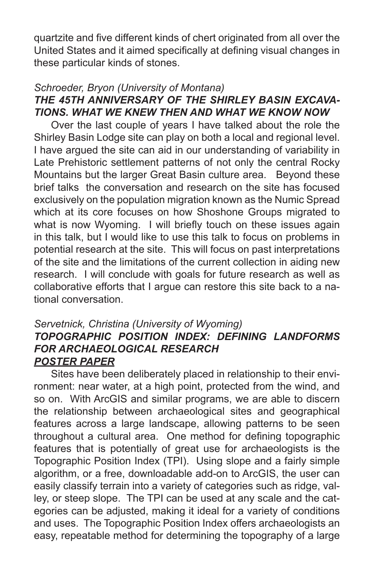quartzite and five different kinds of chert originated from all over the United States and it aimed specifically at defining visual changes in these particular kinds of stones.

## *Schroeder, Bryon (University of Montana) THE 45TH ANNIVERSARY OF THE SHIRLEY BASIN EXCAVA-TIONS. WHAT WE KNEW THEN AND WHAT WE KNOW NOW*

Over the last couple of years I have talked about the role the Shirley Basin Lodge site can play on both a local and regional level. I have argued the site can aid in our understanding of variability in Late Prehistoric settlement patterns of not only the central Rocky Mountains but the larger Great Basin culture area. Beyond these brief talks the conversation and research on the site has focused exclusively on the population migration known as the Numic Spread which at its core focuses on how Shoshone Groups migrated to what is now Wyoming. I will briefly touch on these issues again in this talk, but I would like to use this talk to focus on problems in potential research at the site. This will focus on past interpretations of the site and the limitations of the current collection in aiding new research. I will conclude with goals for future research as well as collaborative efforts that I argue can restore this site back to a national conversation.

## *Servetnick, Christina (University of Wyoming) TOPOGRAPHIC POSITION INDEX: DEFINING LANDFORMS FOR ARCHAEOLOGICAL RESEARCH POSTER PAPER*

Sites have been deliberately placed in relationship to their environment: near water, at a high point, protected from the wind, and so on. With ArcGIS and similar programs, we are able to discern the relationship between archaeological sites and geographical features across a large landscape, allowing patterns to be seen throughout a cultural area. One method for defining topographic features that is potentially of great use for archaeologists is the Topographic Position Index (TPI). Using slope and a fairly simple algorithm, or a free, downloadable add-on to ArcGIS, the user can easily classify terrain into a variety of categories such as ridge, valley, or steep slope. The TPI can be used at any scale and the categories can be adjusted, making it ideal for a variety of conditions and uses. The Topographic Position Index offers archaeologists an easy, repeatable method for determining the topography of a large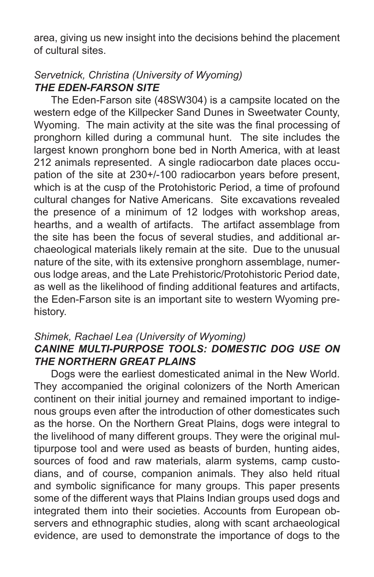area, giving us new insight into the decisions behind the placement of cultural sites.

# *Servetnick, Christina (University of Wyoming) THE EDEN-FARSON SITE*

The Eden-Farson site (48SW304) is a campsite located on the western edge of the Killpecker Sand Dunes in Sweetwater County, Wyoming. The main activity at the site was the final processing of pronghorn killed during a communal hunt. The site includes the largest known pronghorn bone bed in North America, with at least 212 animals represented. A single radiocarbon date places occupation of the site at 230+/-100 radiocarbon years before present, which is at the cusp of the Protohistoric Period, a time of profound cultural changes for Native Americans. Site excavations revealed the presence of a minimum of 12 lodges with workshop areas, hearths, and a wealth of artifacts. The artifact assemblage from the site has been the focus of several studies, and additional archaeological materials likely remain at the site. Due to the unusual nature of the site, with its extensive pronghorn assemblage, numerous lodge areas, and the Late Prehistoric/Protohistoric Period date, as well as the likelihood of finding additional features and artifacts, the Eden-Farson site is an important site to western Wyoming prehistory.

#### *Shimek, Rachael Lea (University of Wyoming) CANINE MULTI-PURPOSE TOOLS: DOMESTIC DOG USE ON THE NORTHERN GREAT PLAINS*

Dogs were the earliest domesticated animal in the New World. They accompanied the original colonizers of the North American continent on their initial journey and remained important to indigenous groups even after the introduction of other domesticates such as the horse. On the Northern Great Plains, dogs were integral to the livelihood of many different groups. They were the original multipurpose tool and were used as beasts of burden, hunting aides, sources of food and raw materials, alarm systems, camp custodians, and of course, companion animals. They also held ritual and symbolic significance for many groups. This paper presents some of the different ways that Plains Indian groups used dogs and integrated them into their societies. Accounts from European observers and ethnographic studies, along with scant archaeological evidence, are used to demonstrate the importance of dogs to the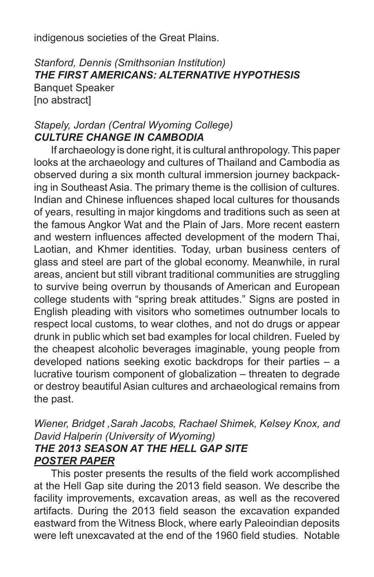indigenous societies of the Great Plains.

# *Stanford, Dennis (Smithsonian Institution) THE FIRST AMERICANS: ALTERNATIVE HYPOTHESIS*

Banquet Speaker [no abstract]

## *Stapely, Jordan (Central Wyoming College) CULTURE CHANGE IN CAMBODIA*

If archaeology is done right, it is cultural anthropology. This paper looks at the archaeology and cultures of Thailand and Cambodia as observed during a six month cultural immersion journey backpacking in Southeast Asia. The primary theme is the collision of cultures. Indian and Chinese influences shaped local cultures for thousands of years, resulting in major kingdoms and traditions such as seen at the famous Angkor Wat and the Plain of Jars. More recent eastern and western influences affected development of the modern Thai, Laotian, and Khmer identities. Today, urban business centers of glass and steel are part of the global economy. Meanwhile, in rural areas, ancient but still vibrant traditional communities are struggling to survive being overrun by thousands of American and European college students with "spring break attitudes." Signs are posted in English pleading with visitors who sometimes outnumber locals to respect local customs, to wear clothes, and not do drugs or appear drunk in public which set bad examples for local children. Fueled by the cheapest alcoholic beverages imaginable, young people from developed nations seeking exotic backdrops for their parties – a lucrative tourism component of globalization – threaten to degrade or destroy beautiful Asian cultures and archaeological remains from the past.

## *Wiener, Bridget ,Sarah Jacobs, Rachael Shimek, Kelsey Knox, and David Halperin (University of Wyoming) THE 2013 SEASON AT THE HELL GAP SITE POSTER PAPER*

This poster presents the results of the field work accomplished at the Hell Gap site during the 2013 field season. We describe the facility improvements, excavation areas, as well as the recovered artifacts. During the 2013 field season the excavation expanded eastward from the Witness Block, where early Paleoindian deposits were left unexcavated at the end of the 1960 field studies. Notable